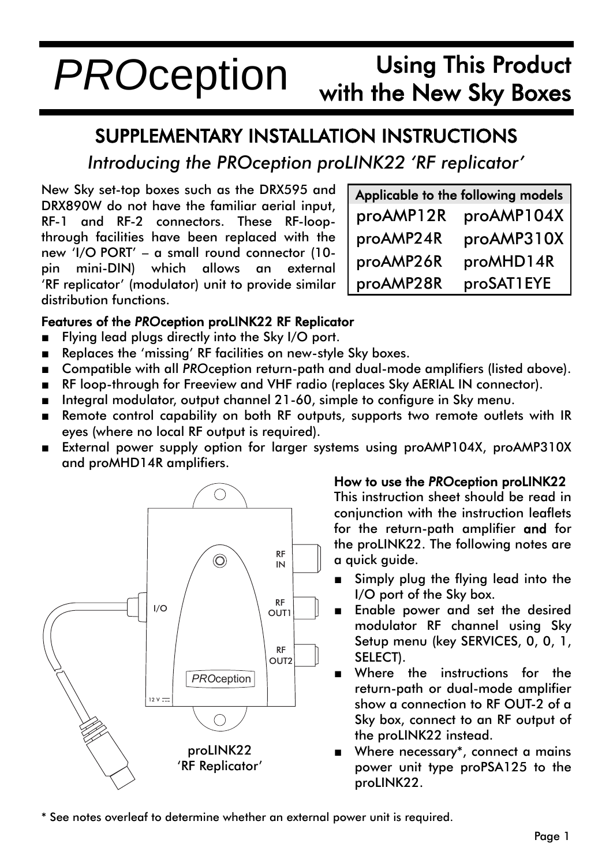## Using This Product with the New Sky Boxes *PRO*ception

# SUPPLEMENTARY INSTALLATION INSTRUCTIONS

*Introducing the PROception proLINK22 'RF replicator'*

New Sky set-top boxes such as the DRX595 and DRX890W do not have the familiar aerial input, RF-1 and RF-2 connectors. These RF-loopthrough facilities have been replaced with the new 'I/O PORT' – a small round connector (10 pin mini-DIN) which allows an external 'RF replicator' (modulator) unit to provide similar distribution functions.

| Applicable to the following models |            |  |
|------------------------------------|------------|--|
| proAMP12R                          | proAMP104X |  |
| proAMP24R                          | proAMP310X |  |
| proAMP26R                          | proMHD14R  |  |
| proAMP28R                          | proSAT1EYE |  |

### Features of the *PRO*ception proLINK22 RF Replicator

- Flying lead plugs directly into the Sky I/O port.
- Replaces the 'missing' RF facilities on new-style Sky boxes.
- Compatible with all *PRO*ception return-path and dual-mode amplifiers (listed above).
- RF loop-through for Freeview and VHF radio (replaces Sky AERIAL IN connector).
- Integral modulator, output channel 21-60, simple to configure in Sky menu.
- Remote control capability on both RF outputs, supports two remote outlets with IR eyes (where no local RF output is required).
- External power supply option for larger systems using proAMP104X, proAMP310X and proMHD14R amplifiers.



#### How to use the *PRO*ception proLINK22

This instruction sheet should be read in conjunction with the instruction leaflets for the return-path amplifier and for the proLINK22. The following notes are a quick guide.

- Simply plug the flying lead into the I/O port of the Sky box.
- Enable power and set the desired modulator RF channel using Sky Setup menu (key SERVICES, 0, 0, 1, SELECT).
- Where the instructions for the return-path or dual-mode amplifier show a connection to RF OUT-2 of a Sky box, connect to an RF output of the proLINK22 instead.
- Where necessary\*, connect a mains power unit type proPSA125 to the proLINK22.

\* See notes overleaf to determine whether an external power unit is required.